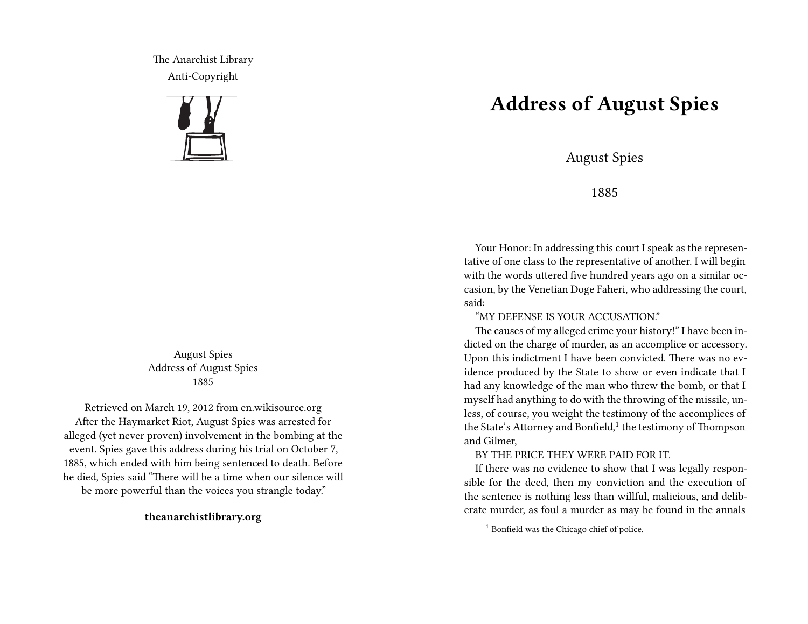The Anarchist Library Anti-Copyright



August Spies Address of August Spies 1885

Retrieved on March 19, 2012 from en.wikisource.org After the Haymarket Riot, August Spies was arrested for alleged (yet never proven) involvement in the bombing at the event. Spies gave this address during his trial on October 7, 1885, which ended with him being sentenced to death. Before he died, Spies said "There will be a time when our silence will be more powerful than the voices you strangle today."

**theanarchistlibrary.org**

# **Address of August Spies**

August Spies

1885

Your Honor: In addressing this court I speak as the representative of one class to the representative of another. I will begin with the words uttered five hundred years ago on a similar occasion, by the Venetian Doge Faheri, who addressing the court, said:

#### "MY DEFENSE IS YOUR ACCUSATION."

The causes of my alleged crime your history!" I have been indicted on the charge of murder, as an accomplice or accessory. Upon this indictment I have been convicted. There was no evidence produced by the State to show or even indicate that I had any knowledge of the man who threw the bomb, or that I myself had anything to do with the throwing of the missile, unless, of course, you weight the testimony of the accomplices of the State's Attorney and Bonfield,<sup>1</sup> the testimony of Thompson and Gilmer,

#### BY THE PRICE THEY WERE PAID FOR IT.

If there was no evidence to show that I was legally responsible for the deed, then my conviction and the execution of the sentence is nothing less than willful, malicious, and deliberate murder, as foul a murder as may be found in the annals

<sup>&</sup>lt;sup>1</sup> Bonfield was the Chicago chief of police.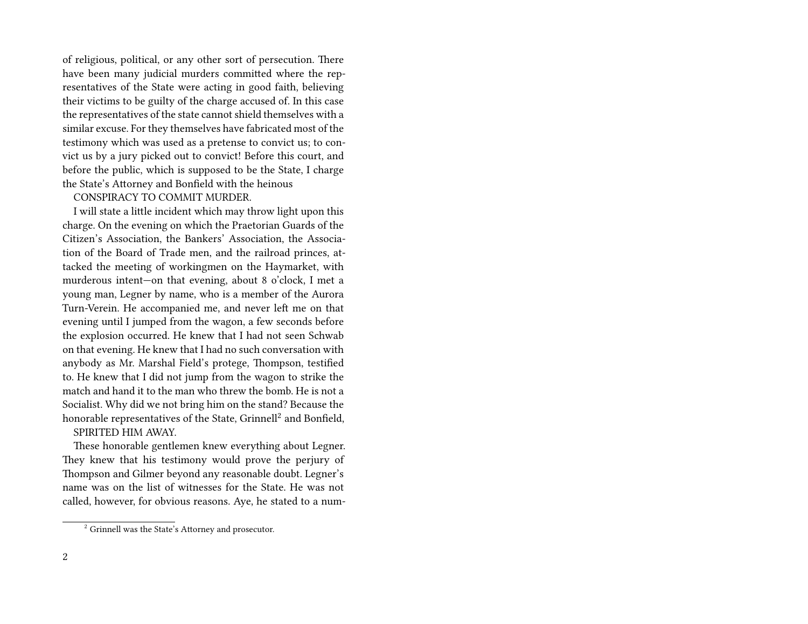of religious, political, or any other sort of persecution. There have been many judicial murders committed where the representatives of the State were acting in good faith, believing their victims to be guilty of the charge accused of. In this case the representatives of the state cannot shield themselves with a similar excuse. For they themselves have fabricated most of the testimony which was used as a pretense to convict us; to convict us by a jury picked out to convict! Before this court, and before the public, which is supposed to be the State, I charge the State's Attorney and Bonfield with the heinous

## CONSPIRACY TO COMMIT MURDER.

I will state a little incident which may throw light upon this charge. On the evening on which the Praetorian Guards of the Citizen's Association, the Bankers' Association, the Association of the Board of Trade men, and the railroad princes, attacked the meeting of workingmen on the Haymarket, with murderous intent—on that evening, about 8 o'clock, I met a young man, Legner by name, who is a member of the Aurora Turn-Verein. He accompanied me, and never left me on that evening until I jumped from the wagon, a few seconds before the explosion occurred. He knew that I had not seen Schwab on that evening. He knew that I had no such conversation with anybody as Mr. Marshal Field's protege, Thompson, testified to. He knew that I did not jump from the wagon to strike the match and hand it to the man who threw the bomb. He is not a Socialist. Why did we not bring him on the stand? Because the honorable representatives of the State, Grinnell $^2$  and Bonfield, SPIRITED HIM AWAY.

These honorable gentlemen knew everything about Legner. They knew that his testimony would prove the perjury of Thompson and Gilmer beyond any reasonable doubt. Legner's name was on the list of witnesses for the State. He was not called, however, for obvious reasons. Aye, he stated to a num-

<sup>2</sup> Grinnell was the State's Attorney and prosecutor.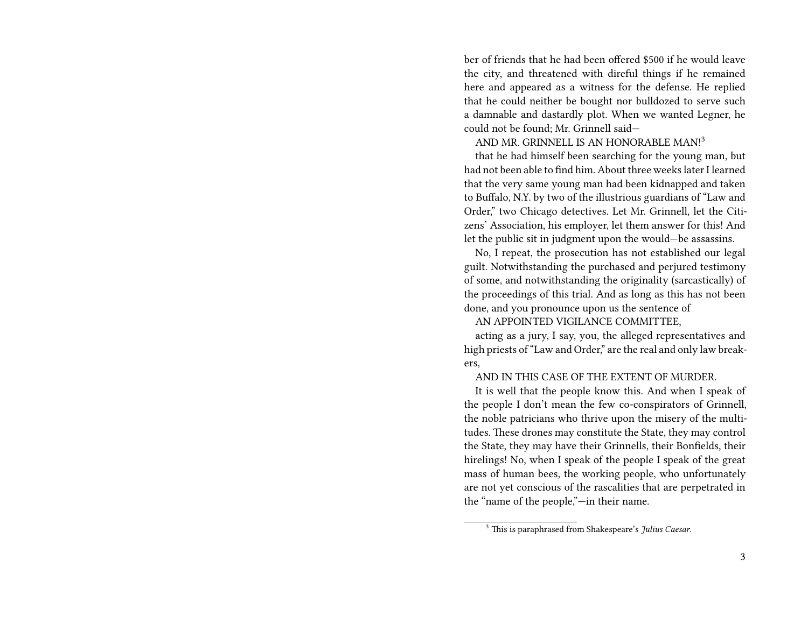ber of friends that he had been offered \$500 if he would leave the city, and threatened with direful things if he remained here and appeared as a witness for the defense. He replied that he could neither be bought nor bulldozed to serve such a damnable and dastardly plot. When we wanted Legner, he could not be found; Mr. Grinnell said—

AND MR. GRINNELL IS AN HONORABLE MAN!<sup>3</sup>

that he had himself been searching for the young man, but had not been able to find him. About three weeks later I learned that the very same young man had been kidnapped and taken to Buffalo, N.Y. by two of the illustrious guardians of "Law and Order," two Chicago detectives. Let Mr. Grinnell, let the Citizens' Association, his employer, let them answer for this! And let the public sit in judgment upon the would—be assassins.

No, I repeat, the prosecution has not established our legal guilt. Notwithstanding the purchased and perjured testimony of some, and notwithstanding the originality (sarcastically) of the proceedings of this trial. And as long as this has not been done, and you pronounce upon us the sentence of

## AN APPOINTED VIGILANCE COMMITTEE,

acting as a jury, I say, you, the alleged representatives and high priests of "Law and Order," are the real and only law breakers,

## AND IN THIS CASE OF THE EXTENT OF MURDER.

It is well that the people know this. And when I speak of the people I don't mean the few co-conspirators of Grinnell, the noble patricians who thrive upon the misery of the multitudes. These drones may constitute the State, they may control the State, they may have their Grinnells, their Bonfields, their hirelings! No, when I speak of the people I speak of the great mass of human bees, the working people, who unfortunately are not yet conscious of the rascalities that are perpetrated in the "name of the people,"—in their name.

<sup>3</sup> This is paraphrased from Shakespeare's *Julius Caesar*.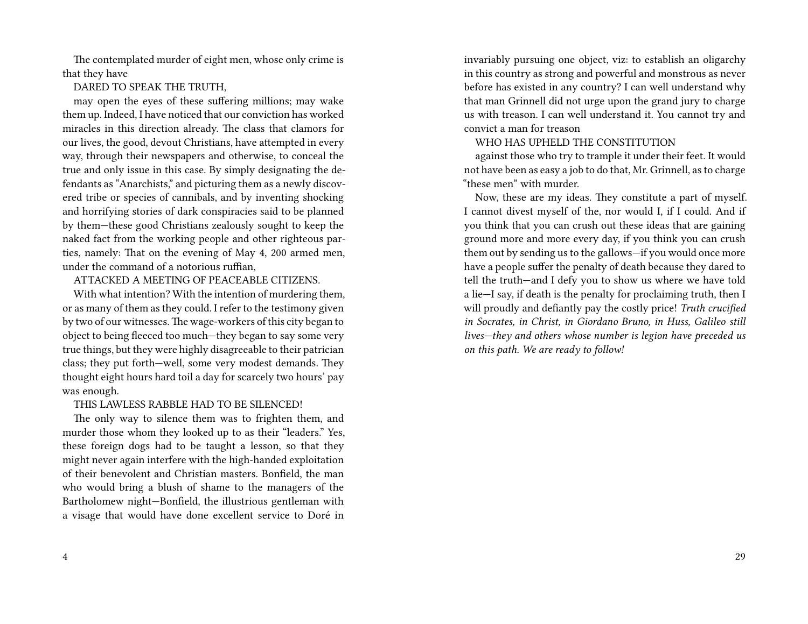The contemplated murder of eight men, whose only crime is that they have

# DARED TO SPEAK THE TRUTH,

may open the eyes of these suffering millions; may wake them up. Indeed, I have noticed that our conviction has worked miracles in this direction already. The class that clamors for our lives, the good, devout Christians, have attempted in every way, through their newspapers and otherwise, to conceal the true and only issue in this case. By simply designating the defendants as "Anarchists," and picturing them as a newly discovered tribe or species of cannibals, and by inventing shocking and horrifying stories of dark conspiracies said to be planned by them—these good Christians zealously sought to keep the naked fact from the working people and other righteous parties, namely: That on the evening of May 4, 200 armed men, under the command of a notorious ruffian,

#### ATTACKED A MEETING OF PEACEABLE CITIZENS.

With what intention? With the intention of murdering them, or as many of them as they could. I refer to the testimony given by two of our witnesses.The wage-workers of this city began to object to being fleeced too much—they began to say some very true things, but they were highly disagreeable to their patrician class; they put forth—well, some very modest demands. They thought eight hours hard toil a day for scarcely two hours' pay was enough.

# THIS LAWLESS RABBLE HAD TO BE SILENCED!

The only way to silence them was to frighten them, and murder those whom they looked up to as their "leaders." Yes, these foreign dogs had to be taught a lesson, so that they might never again interfere with the high-handed exploitation of their benevolent and Christian masters. Bonfield, the man who would bring a blush of shame to the managers of the Bartholomew night—Bonfield, the illustrious gentleman with a visage that would have done excellent service to Doré in

4

invariably pursuing one object, viz: to establish an oligarchy in this country as strong and powerful and monstrous as never before has existed in any country? I can well understand why that man Grinnell did not urge upon the grand jury to charge us with treason. I can well understand it. You cannot try and convict a man for treason

# WHO HAS UPHELD THE CONSTITUTION

against those who try to trample it under their feet. It would not have been as easy a job to do that, Mr. Grinnell, as to charge "these men" with murder.

Now, these are my ideas. They constitute a part of myself. I cannot divest myself of the, nor would I, if I could. And if you think that you can crush out these ideas that are gaining ground more and more every day, if you think you can crush them out by sending us to the gallows—if you would once more have a people suffer the penalty of death because they dared to tell the truth—and I defy you to show us where we have told a lie—I say, if death is the penalty for proclaiming truth, then I will proudly and defiantly pay the costly price! *Truth crucified in Socrates, in Christ, in Giordano Bruno, in Huss, Galileo still lives—they and others whose number is legion have preceded us on this path. We are ready to follow!*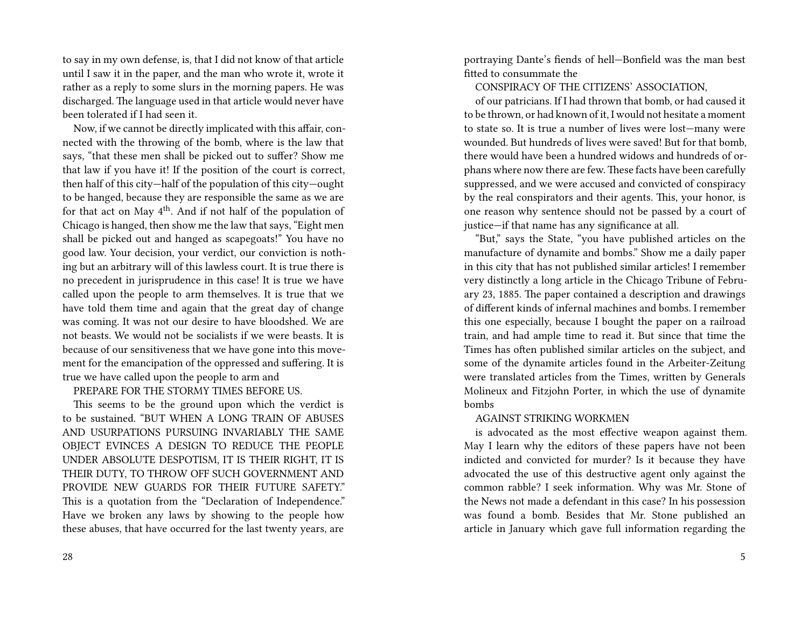to say in my own defense, is, that I did not know of that article until I saw it in the paper, and the man who wrote it, wrote it rather as a reply to some slurs in the morning papers. He was discharged. The language used in that article would never have been tolerated if I had seen it.

Now, if we cannot be directly implicated with this affair, connected with the throwing of the bomb, where is the law that says, "that these men shall be picked out to suffer? Show me that law if you have it! If the position of the court is correct, then half of this city—half of the population of this city—ought to be hanged, because they are responsible the same as we are for that act on May  $4^{th}$ . And if not half of the population of Chicago is hanged, then show me the law that says, "Eight men shall be picked out and hanged as scapegoats!" You have no good law. Your decision, your verdict, our conviction is nothing but an arbitrary will of this lawless court. It is true there is no precedent in jurisprudence in this case! It is true we have called upon the people to arm themselves. It is true that we have told them time and again that the great day of change was coming. It was not our desire to have bloodshed. We are not beasts. We would not be socialists if we were beasts. It is because of our sensitiveness that we have gone into this movement for the emancipation of the oppressed and suffering. It is true we have called upon the people to arm and

PREPARE FOR THE STORMY TIMES BEFORE US.

This seems to be the ground upon which the verdict is to be sustained. "BUT WHEN A LONG TRAIN OF ABUSES AND USURPATIONS PURSUING INVARIABLY THE SAME OBJECT EVINCES A DESIGN TO REDUCE THE PEOPLE UNDER ABSOLUTE DESPOTISM, IT IS THEIR RIGHT, IT IS THEIR DUTY, TO THROW OFF SUCH GOVERNMENT AND PROVIDE NEW GUARDS FOR THEIR FUTURE SAFETY." This is a quotation from the "Declaration of Independence." Have we broken any laws by showing to the people how these abuses, that have occurred for the last twenty years, are

portraying Dante's fiends of hell—Bonfield was the man best fitted to consummate the

CONSPIRACY OF THE CITIZENS' ASSOCIATION,

of our patricians. If I had thrown that bomb, or had caused it to be thrown, or had known of it, I would not hesitate a moment to state so. It is true a number of lives were lost—many were wounded. But hundreds of lives were saved! But for that bomb, there would have been a hundred widows and hundreds of orphans where now there are few. These facts have been carefully suppressed, and we were accused and convicted of conspiracy by the real conspirators and their agents. This, your honor, is one reason why sentence should not be passed by a court of justice—if that name has any significance at all.

"But," says the State, "you have published articles on the manufacture of dynamite and bombs." Show me a daily paper in this city that has not published similar articles! I remember very distinctly a long article in the Chicago Tribune of February 23, 1885. The paper contained a description and drawings of different kinds of infernal machines and bombs. I remember this one especially, because I bought the paper on a railroad train, and had ample time to read it. But since that time the Times has often published similar articles on the subject, and some of the dynamite articles found in the Arbeiter-Zeitung were translated articles from the Times, written by Generals Molineux and Fitzjohn Porter, in which the use of dynamite bombs

## AGAINST STRIKING WORKMEN

is advocated as the most effective weapon against them. May I learn why the editors of these papers have not been indicted and convicted for murder? Is it because they have advocated the use of this destructive agent only against the common rabble? I seek information. Why was Mr. Stone of the News not made a defendant in this case? In his possession was found a bomb. Besides that Mr. Stone published an article in January which gave full information regarding the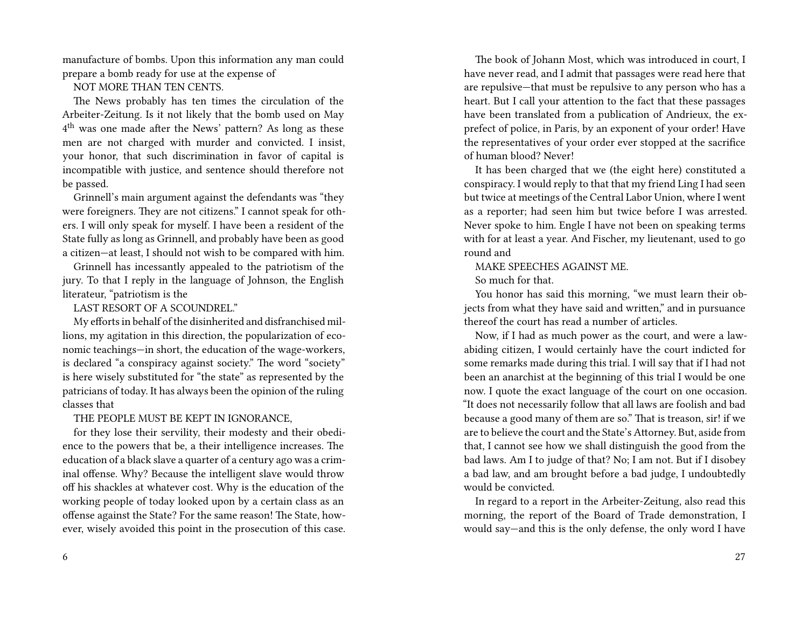manufacture of bombs. Upon this information any man could prepare a bomb ready for use at the expense of

## NOT MORE THAN TEN CENTS.

The News probably has ten times the circulation of the Arbeiter-Zeitung. Is it not likely that the bomb used on May 4<sup>th</sup> was one made after the News' pattern? As long as these men are not charged with murder and convicted. I insist, your honor, that such discrimination in favor of capital is incompatible with justice, and sentence should therefore not be passed.

Grinnell's main argument against the defendants was "they were foreigners. They are not citizens." I cannot speak for others. I will only speak for myself. I have been a resident of the State fully as long as Grinnell, and probably have been as good a citizen—at least, I should not wish to be compared with him.

Grinnell has incessantly appealed to the patriotism of the jury. To that I reply in the language of Johnson, the English literateur, "patriotism is the

LAST RESORT OF A SCOUNDREL."

My efforts in behalf of the disinherited and disfranchised millions, my agitation in this direction, the popularization of economic teachings—in short, the education of the wage-workers, is declared "a conspiracy against society." The word "society" is here wisely substituted for "the state" as represented by the patricians of today. It has always been the opinion of the ruling classes that

THE PEOPLE MUST BE KEPT IN IGNORANCE,

for they lose their servility, their modesty and their obedience to the powers that be, a their intelligence increases. The education of a black slave a quarter of a century ago was a criminal offense. Why? Because the intelligent slave would throw off his shackles at whatever cost. Why is the education of the working people of today looked upon by a certain class as an offense against the State? For the same reason! The State, however, wisely avoided this point in the prosecution of this case.

The book of Johann Most, which was introduced in court, I have never read, and I admit that passages were read here that are repulsive—that must be repulsive to any person who has a heart. But I call your attention to the fact that these passages have been translated from a publication of Andrieux, the exprefect of police, in Paris, by an exponent of your order! Have the representatives of your order ever stopped at the sacrifice of human blood? Never!

It has been charged that we (the eight here) constituted a conspiracy. I would reply to that that my friend Ling I had seen but twice at meetings of the Central Labor Union, where I went as a reporter; had seen him but twice before I was arrested. Never spoke to him. Engle I have not been on speaking terms with for at least a year. And Fischer, my lieutenant, used to go round and

MAKE SPEECHES AGAINST ME.

So much for that.

You honor has said this morning, "we must learn their objects from what they have said and written," and in pursuance thereof the court has read a number of articles.

Now, if I had as much power as the court, and were a lawabiding citizen, I would certainly have the court indicted for some remarks made during this trial. I will say that if I had not been an anarchist at the beginning of this trial I would be one now. I quote the exact language of the court on one occasion. "It does not necessarily follow that all laws are foolish and bad because a good many of them are so." That is treason, sir! if we are to believe the court and the State's Attorney. But, aside from that, I cannot see how we shall distinguish the good from the bad laws. Am I to judge of that? No; I am not. But if I disobey a bad law, and am brought before a bad judge, I undoubtedly would be convicted.

In regard to a report in the Arbeiter-Zeitung, also read this morning, the report of the Board of Trade demonstration, I would say—and this is the only defense, the only word I have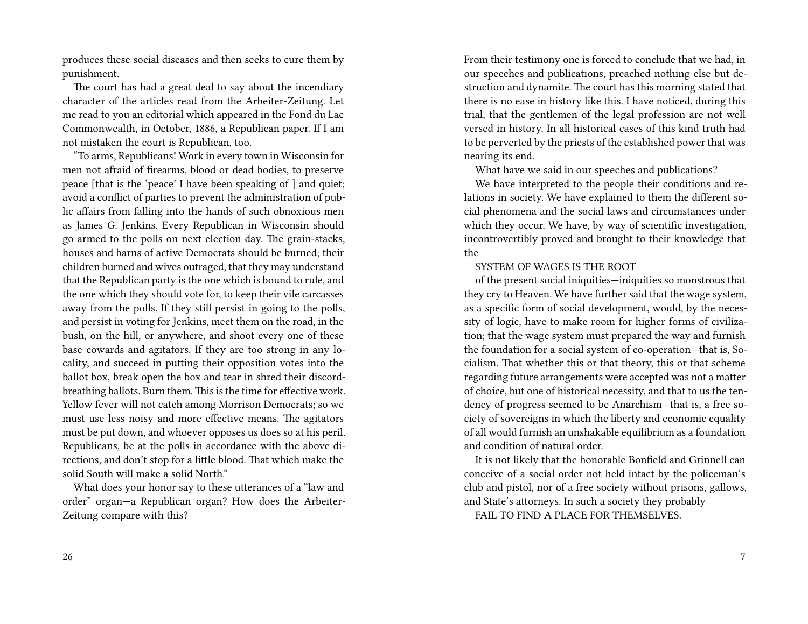produces these social diseases and then seeks to cure them by punishment.

The court has had a great deal to say about the incendiary character of the articles read from the Arbeiter-Zeitung. Let me read to you an editorial which appeared in the Fond du Lac Commonwealth, in October, 1886, a Republican paper. If I am not mistaken the court is Republican, too.

"To arms, Republicans! Work in every town in Wisconsin for men not afraid of firearms, blood or dead bodies, to preserve peace [that is the 'peace' I have been speaking of ] and quiet; avoid a conflict of parties to prevent the administration of public affairs from falling into the hands of such obnoxious men as James G. Jenkins. Every Republican in Wisconsin should go armed to the polls on next election day. The grain-stacks, houses and barns of active Democrats should be burned; their children burned and wives outraged, that they may understand that the Republican party is the one which is bound to rule, and the one which they should vote for, to keep their vile carcasses away from the polls. If they still persist in going to the polls, and persist in voting for Jenkins, meet them on the road, in the bush, on the hill, or anywhere, and shoot every one of these base cowards and agitators. If they are too strong in any locality, and succeed in putting their opposition votes into the ballot box, break open the box and tear in shred their discordbreathing ballots. Burn them. This is the time for effective work. Yellow fever will not catch among Morrison Democrats; so we must use less noisy and more effective means. The agitators must be put down, and whoever opposes us does so at his peril. Republicans, be at the polls in accordance with the above directions, and don't stop for a little blood. That which make the solid South will make a solid North."

What does your honor say to these utterances of a "law and order" organ—a Republican organ? How does the Arbeiter-Zeitung compare with this?

From their testimony one is forced to conclude that we had, in our speeches and publications, preached nothing else but destruction and dynamite. The court has this morning stated that there is no ease in history like this. I have noticed, during this trial, that the gentlemen of the legal profession are not well versed in history. In all historical cases of this kind truth had to be perverted by the priests of the established power that was nearing its end.

What have we said in our speeches and publications?

We have interpreted to the people their conditions and relations in society. We have explained to them the different social phenomena and the social laws and circumstances under which they occur. We have, by way of scientific investigation, incontrovertibly proved and brought to their knowledge that the

#### SYSTEM OF WAGES IS THE ROOT

of the present social iniquities—iniquities so monstrous that they cry to Heaven. We have further said that the wage system, as a specific form of social development, would, by the necessity of logic, have to make room for higher forms of civilization; that the wage system must prepared the way and furnish the foundation for a social system of co-operation—that is, Socialism. That whether this or that theory, this or that scheme regarding future arrangements were accepted was not a matter of choice, but one of historical necessity, and that to us the tendency of progress seemed to be Anarchism—that is, a free society of sovereigns in which the liberty and economic equality of all would furnish an unshakable equilibrium as a foundation and condition of natural order.

It is not likely that the honorable Bonfield and Grinnell can conceive of a social order not held intact by the policeman's club and pistol, nor of a free society without prisons, gallows, and State's attorneys. In such a society they probably

FAIL TO FIND A PLACE FOR THEMSELVES.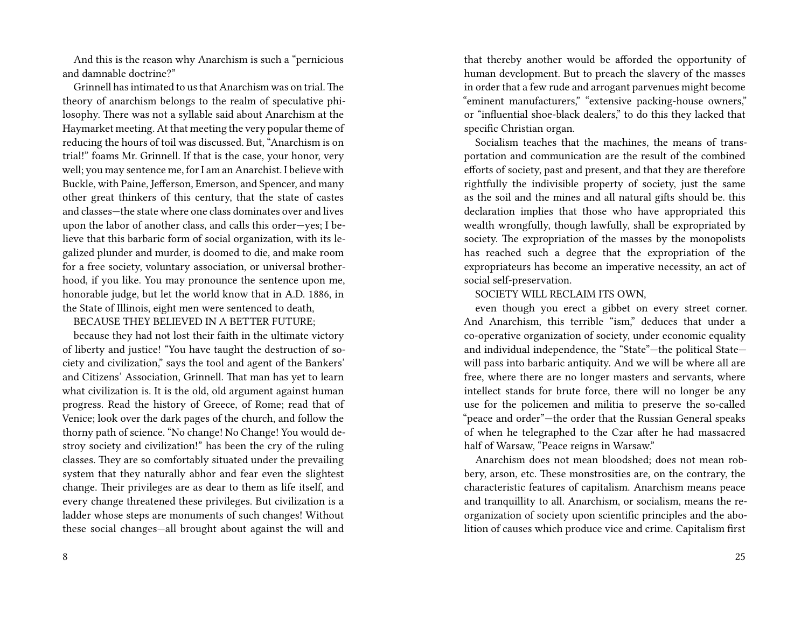And this is the reason why Anarchism is such a "pernicious and damnable doctrine?"

Grinnell has intimated to us that Anarchism was on trial.The theory of anarchism belongs to the realm of speculative philosophy. There was not a syllable said about Anarchism at the Haymarket meeting. At that meeting the very popular theme of reducing the hours of toil was discussed. But, "Anarchism is on trial!" foams Mr. Grinnell. If that is the case, your honor, very well; you may sentence me, for I am an Anarchist. I believe with Buckle, with Paine, Jefferson, Emerson, and Spencer, and many other great thinkers of this century, that the state of castes and classes—the state where one class dominates over and lives upon the labor of another class, and calls this order—yes; I believe that this barbaric form of social organization, with its legalized plunder and murder, is doomed to die, and make room for a free society, voluntary association, or universal brotherhood, if you like. You may pronounce the sentence upon me, honorable judge, but let the world know that in A.D. 1886, in the State of Illinois, eight men were sentenced to death,

BECAUSE THEY BELIEVED IN A BETTER FUTURE;

because they had not lost their faith in the ultimate victory of liberty and justice! "You have taught the destruction of society and civilization," says the tool and agent of the Bankers' and Citizens' Association, Grinnell. That man has yet to learn what civilization is. It is the old, old argument against human progress. Read the history of Greece, of Rome; read that of Venice; look over the dark pages of the church, and follow the thorny path of science. "No change! No Change! You would destroy society and civilization!" has been the cry of the ruling classes. They are so comfortably situated under the prevailing system that they naturally abhor and fear even the slightest change. Their privileges are as dear to them as life itself, and every change threatened these privileges. But civilization is a ladder whose steps are monuments of such changes! Without these social changes—all brought about against the will and

that thereby another would be afforded the opportunity of human development. But to preach the slavery of the masses in order that a few rude and arrogant parvenues might become "eminent manufacturers," "extensive packing-house owners," or "influential shoe-black dealers," to do this they lacked that specific Christian organ.

Socialism teaches that the machines, the means of transportation and communication are the result of the combined efforts of society, past and present, and that they are therefore rightfully the indivisible property of society, just the same as the soil and the mines and all natural gifts should be. this declaration implies that those who have appropriated this wealth wrongfully, though lawfully, shall be expropriated by society. The expropriation of the masses by the monopolists has reached such a degree that the expropriation of the expropriateurs has become an imperative necessity, an act of social self-preservation.

## SOCIETY WILL RECLAIM ITS OWN,

even though you erect a gibbet on every street corner. And Anarchism, this terrible "ism," deduces that under a co-operative organization of society, under economic equality and individual independence, the "State"—the political State will pass into barbaric antiquity. And we will be where all are free, where there are no longer masters and servants, where intellect stands for brute force, there will no longer be any use for the policemen and militia to preserve the so-called "peace and order"—the order that the Russian General speaks of when he telegraphed to the Czar after he had massacred half of Warsaw, "Peace reigns in Warsaw."

Anarchism does not mean bloodshed; does not mean robbery, arson, etc. These monstrosities are, on the contrary, the characteristic features of capitalism. Anarchism means peace and tranquillity to all. Anarchism, or socialism, means the reorganization of society upon scientific principles and the abolition of causes which produce vice and crime. Capitalism first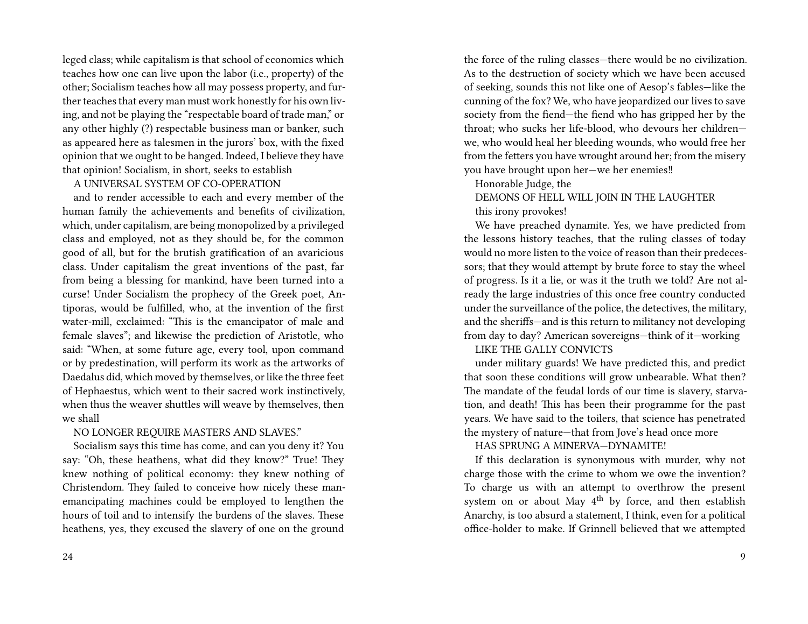leged class; while capitalism is that school of economics which teaches how one can live upon the labor (i.e., property) of the other; Socialism teaches how all may possess property, and further teaches that every man must work honestly for his own living, and not be playing the "respectable board of trade man," or any other highly (?) respectable business man or banker, such as appeared here as talesmen in the jurors' box, with the fixed opinion that we ought to be hanged. Indeed, I believe they have that opinion! Socialism, in short, seeks to establish

## A UNIVERSAL SYSTEM OF CO-OPERATION

and to render accessible to each and every member of the human family the achievements and benefits of civilization, which, under capitalism, are being monopolized by a privileged class and employed, not as they should be, for the common good of all, but for the brutish gratification of an avaricious class. Under capitalism the great inventions of the past, far from being a blessing for mankind, have been turned into a curse! Under Socialism the prophecy of the Greek poet, Antiporas, would be fulfilled, who, at the invention of the first water-mill, exclaimed: "This is the emancipator of male and female slaves"; and likewise the prediction of Aristotle, who said: "When, at some future age, every tool, upon command or by predestination, will perform its work as the artworks of Daedalus did, which moved by themselves, or like the three feet of Hephaestus, which went to their sacred work instinctively, when thus the weaver shuttles will weave by themselves, then we shall

# NO LONGER REQUIRE MASTERS AND SLAVES."

Socialism says this time has come, and can you deny it? You say: "Oh, these heathens, what did they know?" True! They knew nothing of political economy: they knew nothing of Christendom. They failed to conceive how nicely these manemancipating machines could be employed to lengthen the hours of toil and to intensify the burdens of the slaves. These heathens, yes, they excused the slavery of one on the ground

the force of the ruling classes—there would be no civilization. As to the destruction of society which we have been accused of seeking, sounds this not like one of Aesop's fables—like the cunning of the fox? We, who have jeopardized our lives to save society from the fiend—the fiend who has gripped her by the throat; who sucks her life-blood, who devours her children we, who would heal her bleeding wounds, who would free her from the fetters you have wrought around her; from the misery you have brought upon her—we her enemies‼

Honorable Judge, the

DEMONS OF HELL WILL JOIN IN THE LAUGHTER this irony provokes!

We have preached dynamite. Yes, we have predicted from the lessons history teaches, that the ruling classes of today would no more listen to the voice of reason than their predecessors; that they would attempt by brute force to stay the wheel of progress. Is it a lie, or was it the truth we told? Are not already the large industries of this once free country conducted under the surveillance of the police, the detectives, the military, and the sheriffs—and is this return to militancy not developing from day to day? American sovereigns—think of it—working

## LIKE THE GALLY CONVICTS

under military guards! We have predicted this, and predict that soon these conditions will grow unbearable. What then? The mandate of the feudal lords of our time is slavery, starvation, and death! This has been their programme for the past years. We have said to the toilers, that science has penetrated the mystery of nature—that from Jove's head once more

## HAS SPRUNG A MINERVA—DYNAMITE!

If this declaration is synonymous with murder, why not charge those with the crime to whom we owe the invention? To charge us with an attempt to overthrow the present system on or about May  $4<sup>th</sup>$  by force, and then establish Anarchy, is too absurd a statement, I think, even for a political office-holder to make. If Grinnell believed that we attempted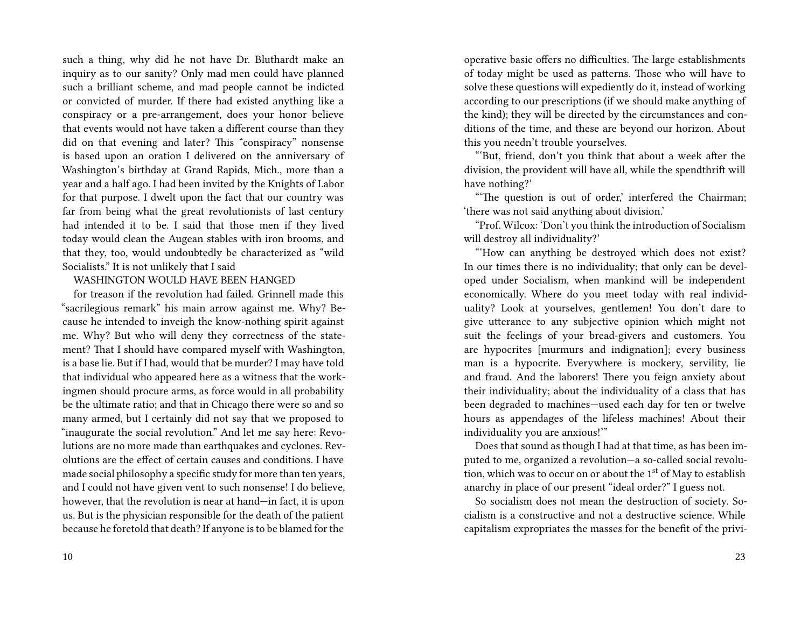such a thing, why did he not have Dr. Bluthardt make an inquiry as to our sanity? Only mad men could have planned such a brilliant scheme, and mad people cannot be indicted or convicted of murder. If there had existed anything like a conspiracy or a pre-arrangement, does your honor believe that events would not have taken a different course than they did on that evening and later? This "conspiracy" nonsense is based upon an oration I delivered on the anniversary of Washington's birthday at Grand Rapids, Mich., more than a year and a half ago. I had been invited by the Knights of Labor for that purpose. I dwelt upon the fact that our country was far from being what the great revolutionists of last century had intended it to be. I said that those men if they lived today would clean the Augean stables with iron brooms, and that they, too, would undoubtedly be characterized as "wild Socialists." It is not unlikely that I said

#### WASHINGTON WOULD HAVE BEEN HANGED

for treason if the revolution had failed. Grinnell made this "sacrilegious remark" his main arrow against me. Why? Because he intended to inveigh the know-nothing spirit against me. Why? But who will deny they correctness of the statement? That I should have compared myself with Washington, is a base lie. But if I had, would that be murder? I may have told that individual who appeared here as a witness that the workingmen should procure arms, as force would in all probability be the ultimate ratio; and that in Chicago there were so and so many armed, but I certainly did not say that we proposed to "inaugurate the social revolution." And let me say here: Revolutions are no more made than earthquakes and cyclones. Revolutions are the effect of certain causes and conditions. I have made social philosophy a specific study for more than ten years, and I could not have given vent to such nonsense! I do believe, however, that the revolution is near at hand—in fact, it is upon us. But is the physician responsible for the death of the patient because he foretold that death? If anyone is to be blamed for the

operative basic offers no difficulties. The large establishments of today might be used as patterns. Those who will have to solve these questions will expediently do it, instead of working according to our prescriptions (if we should make anything of the kind); they will be directed by the circumstances and conditions of the time, and these are beyond our horizon. About this you needn't trouble yourselves.

"'But, friend, don't you think that about a week after the division, the provident will have all, while the spendthrift will have nothing?'

"'The question is out of order,' interfered the Chairman; 'there was not said anything about division.'

"Prof. Wilcox: 'Don't you think the introduction of Socialism will destroy all individuality?'

"'How can anything be destroyed which does not exist? In our times there is no individuality; that only can be developed under Socialism, when mankind will be independent economically. Where do you meet today with real individuality? Look at yourselves, gentlemen! You don't dare to give utterance to any subjective opinion which might not suit the feelings of your bread-givers and customers. You are hypocrites [murmurs and indignation]; every business man is a hypocrite. Everywhere is mockery, servility, lie and fraud. And the laborers! There you feign anxiety about their individuality; about the individuality of a class that has been degraded to machines—used each day for ten or twelve hours as appendages of the lifeless machines! About their individuality you are anxious!'"

Does that sound as though I had at that time, as has been imputed to me, organized a revolution—a so-called social revolution, which was to occur on or about the 1<sup>st</sup> of May to establish anarchy in place of our present "ideal order?" I guess not.

So socialism does not mean the destruction of society. Socialism is a constructive and not a destructive science. While capitalism expropriates the masses for the benefit of the privi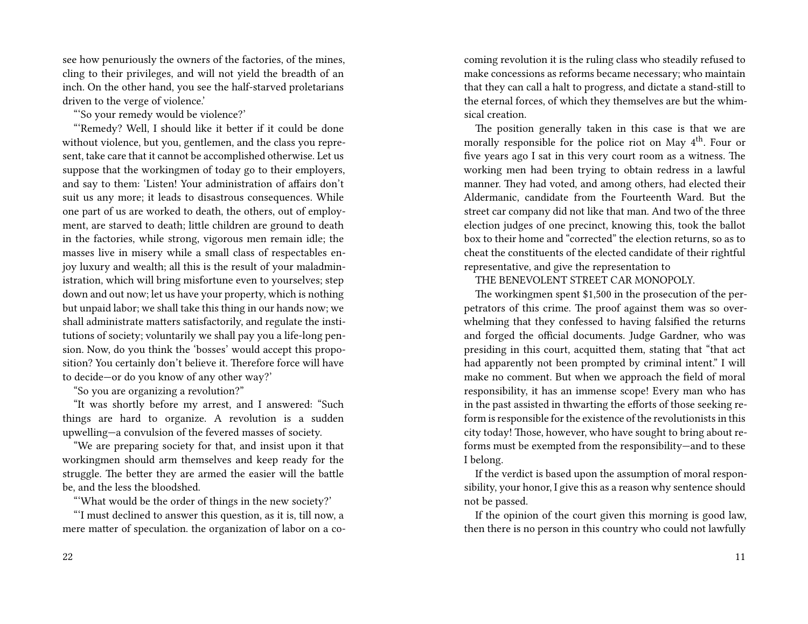see how penuriously the owners of the factories, of the mines, cling to their privileges, and will not yield the breadth of an inch. On the other hand, you see the half-starved proletarians driven to the verge of violence.'

"'So your remedy would be violence?'

"'Remedy? Well, I should like it better if it could be done without violence, but you, gentlemen, and the class you represent, take care that it cannot be accomplished otherwise. Let us suppose that the workingmen of today go to their employers, and say to them: 'Listen! Your administration of affairs don't suit us any more; it leads to disastrous consequences. While one part of us are worked to death, the others, out of employment, are starved to death; little children are ground to death in the factories, while strong, vigorous men remain idle; the masses live in misery while a small class of respectables enjoy luxury and wealth; all this is the result of your maladministration, which will bring misfortune even to yourselves; step down and out now; let us have your property, which is nothing but unpaid labor; we shall take this thing in our hands now; we shall administrate matters satisfactorily, and regulate the institutions of society; voluntarily we shall pay you a life-long pension. Now, do you think the 'bosses' would accept this proposition? You certainly don't believe it. Therefore force will have to decide—or do you know of any other way?'

"So you are organizing a revolution?"

"It was shortly before my arrest, and I answered: "Such things are hard to organize. A revolution is a sudden upwelling—a convulsion of the fevered masses of society.

"We are preparing society for that, and insist upon it that workingmen should arm themselves and keep ready for the struggle. The better they are armed the easier will the battle be, and the less the bloodshed.

"'What would be the order of things in the new society?'

"'I must declined to answer this question, as it is, till now, a mere matter of speculation. the organization of labor on a cocoming revolution it is the ruling class who steadily refused to make concessions as reforms became necessary; who maintain that they can call a halt to progress, and dictate a stand-still to the eternal forces, of which they themselves are but the whimsical creation.

The position generally taken in this case is that we are morally responsible for the police riot on May  $4<sup>th</sup>$ . Four or five years ago I sat in this very court room as a witness. The working men had been trying to obtain redress in a lawful manner. They had voted, and among others, had elected their Aldermanic, candidate from the Fourteenth Ward. But the street car company did not like that man. And two of the three election judges of one precinct, knowing this, took the ballot box to their home and "corrected" the election returns, so as to cheat the constituents of the elected candidate of their rightful representative, and give the representation to

THE BENEVOLENT STREET CAR MONOPOLY.

The workingmen spent \$1,500 in the prosecution of the perpetrators of this crime. The proof against them was so overwhelming that they confessed to having falsified the returns and forged the official documents. Judge Gardner, who was presiding in this court, acquitted them, stating that "that act had apparently not been prompted by criminal intent." I will make no comment. But when we approach the field of moral responsibility, it has an immense scope! Every man who has in the past assisted in thwarting the efforts of those seeking reform is responsible for the existence of the revolutionists in this city today! Those, however, who have sought to bring about reforms must be exempted from the responsibility—and to these I belong.

If the verdict is based upon the assumption of moral responsibility, your honor, I give this as a reason why sentence should not be passed.

If the opinion of the court given this morning is good law, then there is no person in this country who could not lawfully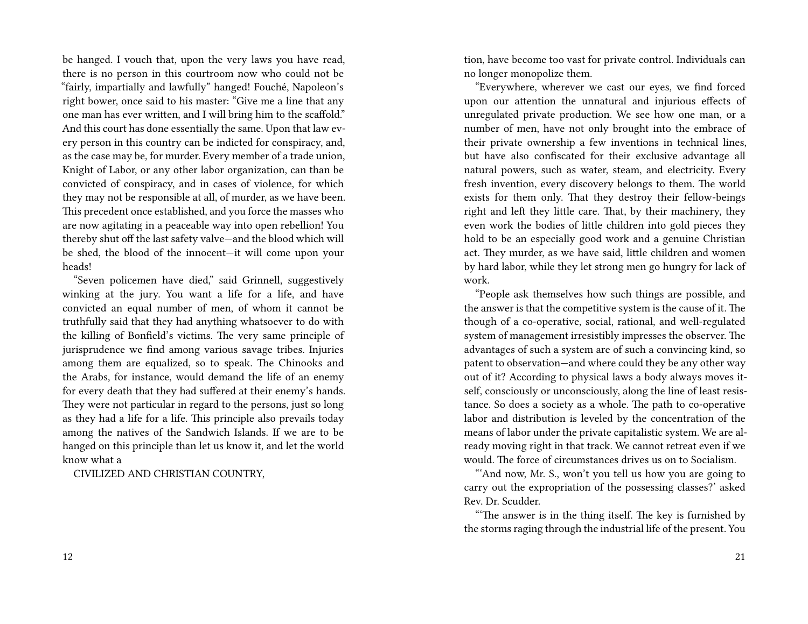be hanged. I vouch that, upon the very laws you have read, there is no person in this courtroom now who could not be "fairly, impartially and lawfully" hanged! Fouché, Napoleon's right bower, once said to his master: "Give me a line that any one man has ever written, and I will bring him to the scaffold." And this court has done essentially the same. Upon that law every person in this country can be indicted for conspiracy, and, as the case may be, for murder. Every member of a trade union, Knight of Labor, or any other labor organization, can than be convicted of conspiracy, and in cases of violence, for which they may not be responsible at all, of murder, as we have been. This precedent once established, and you force the masses who are now agitating in a peaceable way into open rebellion! You thereby shut off the last safety valve—and the blood which will be shed, the blood of the innocent—it will come upon your heads!

"Seven policemen have died," said Grinnell, suggestively winking at the jury. You want a life for a life, and have convicted an equal number of men, of whom it cannot be truthfully said that they had anything whatsoever to do with the killing of Bonfield's victims. The very same principle of jurisprudence we find among various savage tribes. Injuries among them are equalized, so to speak. The Chinooks and the Arabs, for instance, would demand the life of an enemy for every death that they had suffered at their enemy's hands. They were not particular in regard to the persons, just so long as they had a life for a life. This principle also prevails today among the natives of the Sandwich Islands. If we are to be hanged on this principle than let us know it, and let the world know what a

CIVILIZED AND CHRISTIAN COUNTRY,

tion, have become too vast for private control. Individuals can no longer monopolize them.

"Everywhere, wherever we cast our eyes, we find forced upon our attention the unnatural and injurious effects of unregulated private production. We see how one man, or a number of men, have not only brought into the embrace of their private ownership a few inventions in technical lines, but have also confiscated for their exclusive advantage all natural powers, such as water, steam, and electricity. Every fresh invention, every discovery belongs to them. The world exists for them only. That they destroy their fellow-beings right and left they little care. That, by their machinery, they even work the bodies of little children into gold pieces they hold to be an especially good work and a genuine Christian act. They murder, as we have said, little children and women by hard labor, while they let strong men go hungry for lack of work.

"People ask themselves how such things are possible, and the answer is that the competitive system is the cause of it. The though of a co-operative, social, rational, and well-regulated system of management irresistibly impresses the observer. The advantages of such a system are of such a convincing kind, so patent to observation—and where could they be any other way out of it? According to physical laws a body always moves itself, consciously or unconsciously, along the line of least resistance. So does a society as a whole. The path to co-operative labor and distribution is leveled by the concentration of the means of labor under the private capitalistic system. We are already moving right in that track. We cannot retreat even if we would. The force of circumstances drives us on to Socialism.

"'And now, Mr. S., won't you tell us how you are going to carry out the expropriation of the possessing classes?' asked Rev. Dr. Scudder.

"'The answer is in the thing itself. The key is furnished by the storms raging through the industrial life of the present. You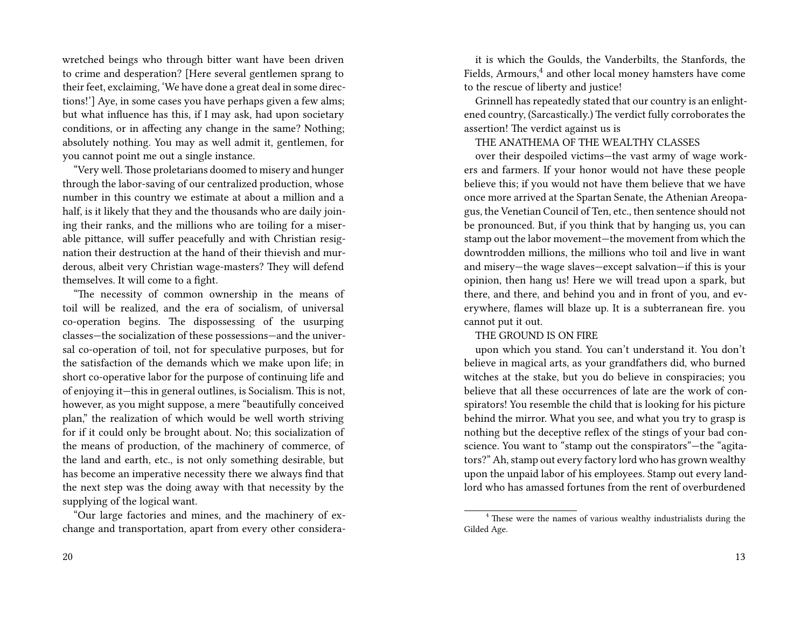wretched beings who through bitter want have been driven to crime and desperation? [Here several gentlemen sprang to their feet, exclaiming, 'We have done a great deal in some directions!'] Aye, in some cases you have perhaps given a few alms; but what influence has this, if I may ask, had upon societary conditions, or in affecting any change in the same? Nothing; absolutely nothing. You may as well admit it, gentlemen, for you cannot point me out a single instance.

"Very well. Those proletarians doomed to misery and hunger through the labor-saving of our centralized production, whose number in this country we estimate at about a million and a half, is it likely that they and the thousands who are daily joining their ranks, and the millions who are toiling for a miserable pittance, will suffer peacefully and with Christian resignation their destruction at the hand of their thievish and murderous, albeit very Christian wage-masters? They will defend themselves. It will come to a fight.

"The necessity of common ownership in the means of toil will be realized, and the era of socialism, of universal co-operation begins. The dispossessing of the usurping classes—the socialization of these possessions—and the universal co-operation of toil, not for speculative purposes, but for the satisfaction of the demands which we make upon life; in short co-operative labor for the purpose of continuing life and of enjoying it—this in general outlines, is Socialism. This is not, however, as you might suppose, a mere "beautifully conceived plan," the realization of which would be well worth striving for if it could only be brought about. No; this socialization of the means of production, of the machinery of commerce, of the land and earth, etc., is not only something desirable, but has become an imperative necessity there we always find that the next step was the doing away with that necessity by the supplying of the logical want.

"Our large factories and mines, and the machinery of exchange and transportation, apart from every other considera-

it is which the Goulds, the Vanderbilts, the Stanfords, the Fields, Armours,<sup>4</sup> and other local money hamsters have come to the rescue of liberty and justice!

Grinnell has repeatedly stated that our country is an enlightened country, (Sarcastically.) The verdict fully corroborates the assertion! The verdict against us is

### THE ANATHEMA OF THE WEALTHY CLASSES

over their despoiled victims—the vast army of wage workers and farmers. If your honor would not have these people believe this; if you would not have them believe that we have once more arrived at the Spartan Senate, the Athenian Areopagus, the Venetian Council of Ten, etc., then sentence should not be pronounced. But, if you think that by hanging us, you can stamp out the labor movement—the movement from which the downtrodden millions, the millions who toil and live in want and misery—the wage slaves—except salvation—if this is your opinion, then hang us! Here we will tread upon a spark, but there, and there, and behind you and in front of you, and everywhere, flames will blaze up. It is a subterranean fire. you cannot put it out.

### THE GROUND IS ON FIRE

upon which you stand. You can't understand it. You don't believe in magical arts, as your grandfathers did, who burned witches at the stake, but you do believe in conspiracies; you believe that all these occurrences of late are the work of conspirators! You resemble the child that is looking for his picture behind the mirror. What you see, and what you try to grasp is nothing but the deceptive reflex of the stings of your bad conscience. You want to "stamp out the conspirators"—the "agitators?" Ah, stamp out every factory lord who has grown wealthy upon the unpaid labor of his employees. Stamp out every landlord who has amassed fortunes from the rent of overburdened

<sup>4</sup> These were the names of various wealthy industrialists during the Gilded Age.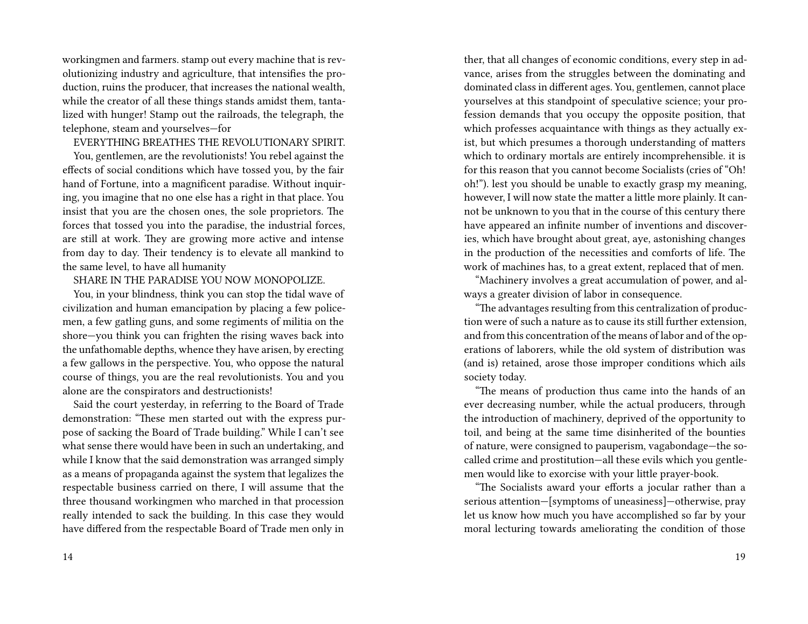workingmen and farmers. stamp out every machine that is revolutionizing industry and agriculture, that intensifies the production, ruins the producer, that increases the national wealth, while the creator of all these things stands amidst them, tantalized with hunger! Stamp out the railroads, the telegraph, the telephone, steam and yourselves—for

EVERYTHING BREATHES THE REVOLUTIONARY SPIRIT.

You, gentlemen, are the revolutionists! You rebel against the effects of social conditions which have tossed you, by the fair hand of Fortune, into a magnificent paradise. Without inquiring, you imagine that no one else has a right in that place. You insist that you are the chosen ones, the sole proprietors. The forces that tossed you into the paradise, the industrial forces, are still at work. They are growing more active and intense from day to day. Their tendency is to elevate all mankind to the same level, to have all humanity

#### SHARE IN THE PARADISE YOU NOW MONOPOLIZE.

You, in your blindness, think you can stop the tidal wave of civilization and human emancipation by placing a few policemen, a few gatling guns, and some regiments of militia on the shore—you think you can frighten the rising waves back into the unfathomable depths, whence they have arisen, by erecting a few gallows in the perspective. You, who oppose the natural course of things, you are the real revolutionists. You and you alone are the conspirators and destructionists!

Said the court yesterday, in referring to the Board of Trade demonstration: "These men started out with the express purpose of sacking the Board of Trade building." While I can't see what sense there would have been in such an undertaking, and while I know that the said demonstration was arranged simply as a means of propaganda against the system that legalizes the respectable business carried on there, I will assume that the three thousand workingmen who marched in that procession really intended to sack the building. In this case they would have differed from the respectable Board of Trade men only in

ther, that all changes of economic conditions, every step in advance, arises from the struggles between the dominating and dominated class in different ages. You, gentlemen, cannot place yourselves at this standpoint of speculative science; your profession demands that you occupy the opposite position, that which professes acquaintance with things as they actually exist, but which presumes a thorough understanding of matters which to ordinary mortals are entirely incomprehensible. it is for this reason that you cannot become Socialists (cries of "Oh! oh!"). lest you should be unable to exactly grasp my meaning, however, I will now state the matter a little more plainly. It cannot be unknown to you that in the course of this century there have appeared an infinite number of inventions and discoveries, which have brought about great, aye, astonishing changes in the production of the necessities and comforts of life. The work of machines has, to a great extent, replaced that of men.

"Machinery involves a great accumulation of power, and always a greater division of labor in consequence.

"The advantages resulting from this centralization of production were of such a nature as to cause its still further extension, and from this concentration of the means of labor and of the operations of laborers, while the old system of distribution was (and is) retained, arose those improper conditions which ails society today.

"The means of production thus came into the hands of an ever decreasing number, while the actual producers, through the introduction of machinery, deprived of the opportunity to toil, and being at the same time disinherited of the bounties of nature, were consigned to pauperism, vagabondage—the socalled crime and prostitution—all these evils which you gentlemen would like to exorcise with your little prayer-book.

"The Socialists award your efforts a jocular rather than a serious attention—[symptoms of uneasiness]—otherwise, pray let us know how much you have accomplished so far by your moral lecturing towards ameliorating the condition of those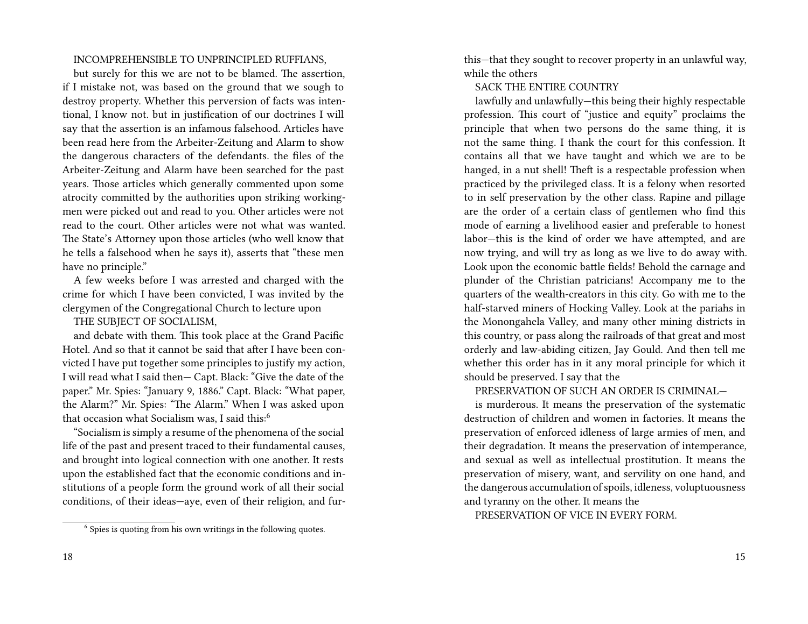## INCOMPREHENSIBLE TO UNPRINCIPLED RUFFIANS,

but surely for this we are not to be blamed. The assertion, if I mistake not, was based on the ground that we sough to destroy property. Whether this perversion of facts was intentional, I know not. but in justification of our doctrines I will say that the assertion is an infamous falsehood. Articles have been read here from the Arbeiter-Zeitung and Alarm to show the dangerous characters of the defendants. the files of the Arbeiter-Zeitung and Alarm have been searched for the past years. Those articles which generally commented upon some atrocity committed by the authorities upon striking workingmen were picked out and read to you. Other articles were not read to the court. Other articles were not what was wanted. The State's Attorney upon those articles (who well know that he tells a falsehood when he says it), asserts that "these men have no principle."

A few weeks before I was arrested and charged with the crime for which I have been convicted, I was invited by the clergymen of the Congregational Church to lecture upon

THE SUBJECT OF SOCIALISM,

and debate with them. This took place at the Grand Pacific Hotel. And so that it cannot be said that after I have been convicted I have put together some principles to justify my action, I will read what I said then— Capt. Black: "Give the date of the paper." Mr. Spies: "January 9, 1886." Capt. Black: "What paper, the Alarm?" Mr. Spies: "The Alarm." When I was asked upon that occasion what Socialism was, I said this:<sup>6</sup>

"Socialism is simply a resume of the phenomena of the social life of the past and present traced to their fundamental causes, and brought into logical connection with one another. It rests upon the established fact that the economic conditions and institutions of a people form the ground work of all their social conditions, of their ideas—aye, even of their religion, and furthis—that they sought to recover property in an unlawful way, while the others

SACK THE ENTIRE COUNTRY

lawfully and unlawfully—this being their highly respectable profession. This court of "justice and equity" proclaims the principle that when two persons do the same thing, it is not the same thing. I thank the court for this confession. It contains all that we have taught and which we are to be hanged, in a nut shell! Theft is a respectable profession when practiced by the privileged class. It is a felony when resorted to in self preservation by the other class. Rapine and pillage are the order of a certain class of gentlemen who find this mode of earning a livelihood easier and preferable to honest labor—this is the kind of order we have attempted, and are now trying, and will try as long as we live to do away with. Look upon the economic battle fields! Behold the carnage and plunder of the Christian patricians! Accompany me to the quarters of the wealth-creators in this city. Go with me to the half-starved miners of Hocking Valley. Look at the pariahs in the Monongahela Valley, and many other mining districts in this country, or pass along the railroads of that great and most orderly and law-abiding citizen, Jay Gould. And then tell me whether this order has in it any moral principle for which it should be preserved. I say that the

PRESERVATION OF SUCH AN ORDER IS CRIMINAL—

is murderous. It means the preservation of the systematic destruction of children and women in factories. It means the preservation of enforced idleness of large armies of men, and their degradation. It means the preservation of intemperance, and sexual as well as intellectual prostitution. It means the preservation of misery, want, and servility on one hand, and the dangerous accumulation of spoils, idleness, voluptuousness and tyranny on the other. It means the

PRESERVATION OF VICE IN EVERY FORM.

 $6$  Spies is quoting from his own writings in the following quotes.